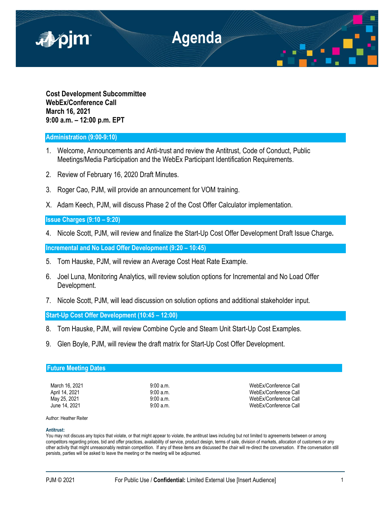

**Cost Development Subcommittee WebEx/Conference Call March 16, 2021 9:00 a.m. – 12:00 p.m. EPT**

# **Administration (9:00-9:10)**

- 1. Welcome, Announcements and Anti-trust and review the Antitrust, Code of Conduct, Public Meetings/Media Participation and the WebEx Participant Identification Requirements.
- 2. Review of February 16, 2020 Draft Minutes.
- 3. Roger Cao, PJM, will provide an announcement for VOM training.
- X. Adam Keech, PJM, will discuss Phase 2 of the Cost Offer Calculator implementation.

## **Issue Charges (9:10 – 9:20)**

4. Nicole Scott, PJM, will review and finalize the Start-Up Cost Offer Development Draft Issue Charge**.**

**Incremental and No Load Offer Development (9:20 – 10:45)**

- 5. Tom Hauske, PJM, will review an Average Cost Heat Rate Example.
- 6. Joel Luna, Monitoring Analytics, will review solution options for Incremental and No Load Offer Development.
- 7. Nicole Scott, PJM, will lead discussion on solution options and additional stakeholder input.

**Start-Up Cost Offer Development (10:45 – 12:00)**

- 8. Tom Hauske, PJM, will review Combine Cycle and Steam Unit Start-Up Cost Examples.
- 9. Glen Boyle, PJM, will review the draft matrix for Start-Up Cost Offer Development.

## **Future Meeting Dates**

March 16, 2021 **9:00 a.m.** 9:00 a.m. And the state of the Media of Media of the Media of the Security of the Security of the Media of the Security of the Security of the Security of the Security of the Security of the Secu April 14, 2021 **12:00 a.m.** 9:00 a.m. 9:00 a.m. WebEx/Conference Call May 25, 2021 **9:00 a.m.** 9:00 a.m. WebEx/Conference Call June 14, 2021 9:00 a.m. WebEx/Conference Call

Author: Heather Reiter

## **Antitrust:**

You may not discuss any topics that violate, or that might appear to violate, the antitrust laws including but not limited to agreements between or among competitors regarding prices, bid and offer practices, availability of service, product design, terms of sale, division of markets, allocation of customers or any other activity that might unreasonably restrain competition. If any of these items are discussed the chair will re-direct the conversation. If the conversation still persists, parties will be asked to leave the meeting or the meeting will be adjourned.